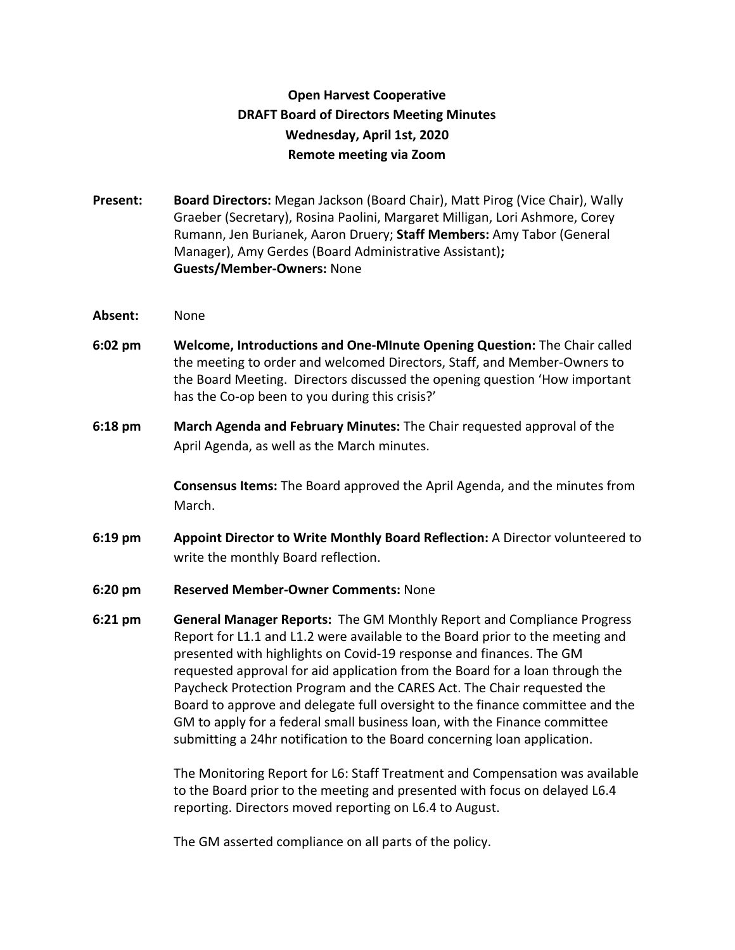## **Open Harvest Cooperative DRAFT Board of Directors Meeting Minutes Wednesday, April 1st, 2020 Remote meeting via Zoom**

- **Present: Board Directors:** Megan Jackson (Board Chair), Matt Pirog (Vice Chair), Wally Graeber (Secretary), Rosina Paolini, Margaret Milligan, Lori Ashmore, Corey Rumann, Jen Burianek, Aaron Druery; **Staff Members:** Amy Tabor (General Manager), Amy Gerdes (Board Administrative Assistant)**; Guests/Member-Owners:** None
- **Absent:** None
- **6:02 pm Welcome, Introductions and One-MInute Opening Question:** The Chair called the meeting to order and welcomed Directors, Staff, and Member-Owners to the Board Meeting. Directors discussed the opening question 'How important has the Co-op been to you during this crisis?'
- **6:18 pm March Agenda and February Minutes:** The Chair requested approval of the April Agenda, as well as the March minutes.

**Consensus Items:** The Board approved the April Agenda, and the minutes from March.

- **6:19 pm Appoint Director to Write Monthly Board Reflection:** A Director volunteered to write the monthly Board reflection.
- **6:20 pm Reserved Member-Owner Comments:** None
- **6:21 pm General Manager Reports:** The GM Monthly Report and Compliance Progress Report for L1.1 and L1.2 were available to the Board prior to the meeting and presented with highlights on Covid-19 response and finances. The GM requested approval for aid application from the Board for a loan through the Paycheck Protection Program and the CARES Act. The Chair requested the Board to approve and delegate full oversight to the finance committee and the GM to apply for a federal small business loan, with the Finance committee submitting a 24hr notification to the Board concerning loan application.

The Monitoring Report for L6: Staff Treatment and Compensation was available to the Board prior to the meeting and presented with focus on delayed L6.4 reporting. Directors moved reporting on L6.4 to August.

The GM asserted compliance on all parts of the policy.